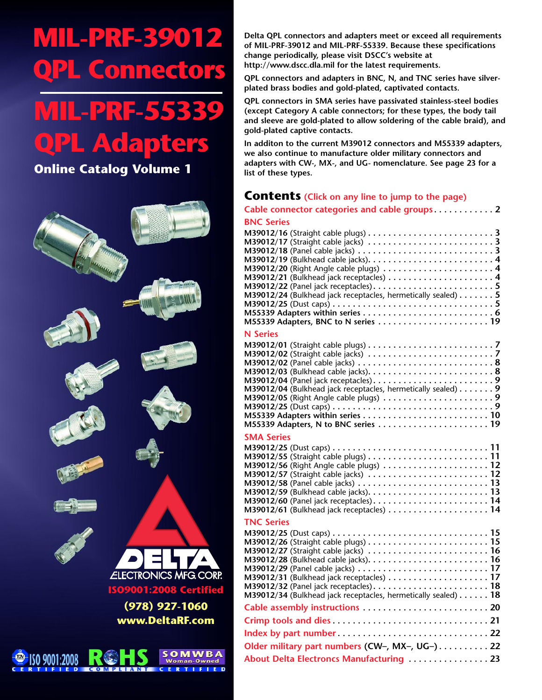# **MIL-PRF-39012 L** Connectors

# **MIL-PRF-55339 QPL Adapters**

**Online Catalog Volume 1**



**Delta QPL connectors and adapters meet or exceed all requirements of MIL-PRF-39012 and MIL-PRF-55339. Because these specifications change periodically, please visit DSCC's website at http://www.dscc.dla.mil for the latest requirements.**

**QPL connectors and adapters in BNC, N, and TNC series have silverplated brass bodies and gold-plated, captivated contacts.**

**QPL connectors in SMA series have passivated stainless-steel bodies (except Category A cable connectors; for these types, the body tail and sleeve are gold-plated to allow soldering of the cable braid), and gold-plated captive contacts.**

**In additon to the current M39012 connectors and M55339 adapters, we also continue to manufacture older military connectors and adapters with CW-, MX-, and UG- nomenclature. See page 23 for a list of these types.**

### **Contents (Click on any line to jump to the page)**

| $\cdots$ co $\cdots$ co $\cdots$                                                                                                                                                                                                                                                                                                                                                                                                                                                                                                                                                                                                                                                                                                                          |  |
|-----------------------------------------------------------------------------------------------------------------------------------------------------------------------------------------------------------------------------------------------------------------------------------------------------------------------------------------------------------------------------------------------------------------------------------------------------------------------------------------------------------------------------------------------------------------------------------------------------------------------------------------------------------------------------------------------------------------------------------------------------------|--|
| Cable connector categories and cable groups2                                                                                                                                                                                                                                                                                                                                                                                                                                                                                                                                                                                                                                                                                                              |  |
| <b>BNC Series</b><br>M39012/16 (Straight cable plugs) $\dots\dots\dots\dots\dots\dots\dots\dots\dots$<br>M39012/17 (Straight cable jacks) $\dots\dots\dots\dots\dots\dots\dots\dots\dots$<br>M39012/18 (Panel cable jacks) $\dots\dots\dots\dots\dots\dots\dots\dots\dots\dots\dots$<br>M39012/20 (Right Angle cable plugs) $\dots\dots\dots\dots\dots\dots\dots\dots4$<br>M39012/21 (Bulkhead jack receptacles) $\dots\dots\dots\dots\dots\dots\dots$<br>M39012/24 (Bulkhead jack receptacles, hermetically sealed) $\dots \dots 5$<br>M55339 Adapters within series $\dots\dots\dots\dots\dots\dots\dots\dots\dots\dots$                                                                                                                                |  |
| M55339 Adapters, BNC to N series $\dots\dots\dots\dots\dots\dots\dots$                                                                                                                                                                                                                                                                                                                                                                                                                                                                                                                                                                                                                                                                                    |  |
| <b>N</b> Series<br>M39012/01 (Straight cable plugs) $\dots\dots\dots\dots\dots\dots\dots\dots\dots\dots$<br>M39012/02 (Straight cable jacks) $\dots\dots\dots\dots\dots\dots\dots\dots\dots$<br>M39012/02 (Panel cable jacks) $\dots\dots\dots\dots\dots\dots\dots\dots\dots\dots$<br>M39012/03 (Bulkhead cable jacks). $\dots\dots\dots\dots\dots\dots\dots\dots\dots$<br>M39012/04 (Bulkhead jack receptacles, hermetically sealed) $\dots \dots$ 9<br>M39012/05 (Right Angle cable plugs) $\dots\dots\dots\dots\dots\dots\dots\dots9$<br>M39012/25 (Dust caps) $\dots\dots\dots\dots\dots\dots\dots\dots\dots\dots\dots\dots$<br>M55339 Adapters within series $\dots\dots\dots\dots\dots\dots\dots\dots\dots$<br>M55339 Adapters, N to BNC series  19 |  |
| <b>SMA Series</b><br>M39012/25 (Dust caps) $\dots \dots \dots \dots \dots \dots \dots \dots \dots \dots \dots \dots 11$<br>M39012/55 (Straight cable plugs) $\dots\dots\dots\dots\dots\dots\dots\dots$ 11<br>M39012/56 (Right Angle cable plugs) $\dots\dots\dots\dots\dots\dots\dots$<br>M39012/57 (Straight cable jacks)  12<br>M39012/60 (Panel jack receptacles). $\dots\dots\dots\dots\dots\dots\dots\dots$ 14<br>M39012/61 (Bulkhead jack receptacles) $\dots\dots\dots\dots\dots\dots\dots$ 14                                                                                                                                                                                                                                                     |  |
| <b>TNC Series</b><br>M39012/25 (Dust caps) $\dots\dots\dots\dots\dots\dots\dots\dots\dots\dots\dots\dots$<br>M39012/26 (Straight cable plugs) $\dots\dots\dots\dots\dots\dots\dots\dots\dots$<br>M39012/27 (Straight cable jacks) $\dots\dots\dots\dots\dots\dots\dots\dots$ 16<br>M39012/29 (Panel cable jacks) $\dots\dots\dots\dots\dots\dots\dots\dots\dots$<br>M39012/31 (Bulkhead jack receptacles) $\dots\dots\dots\dots\dots\dots\dots$ 17<br>M39012/34 (Bulkhead jack receptacles, hermetically sealed) $\dots \dots 18$                                                                                                                                                                                                                         |  |
|                                                                                                                                                                                                                                                                                                                                                                                                                                                                                                                                                                                                                                                                                                                                                           |  |
|                                                                                                                                                                                                                                                                                                                                                                                                                                                                                                                                                                                                                                                                                                                                                           |  |
| Older military part numbers (CW-, MX-, UG-)22                                                                                                                                                                                                                                                                                                                                                                                                                                                                                                                                                                                                                                                                                                             |  |
| About Delta Electroncs Manufacturing  23                                                                                                                                                                                                                                                                                                                                                                                                                                                                                                                                                                                                                                                                                                                  |  |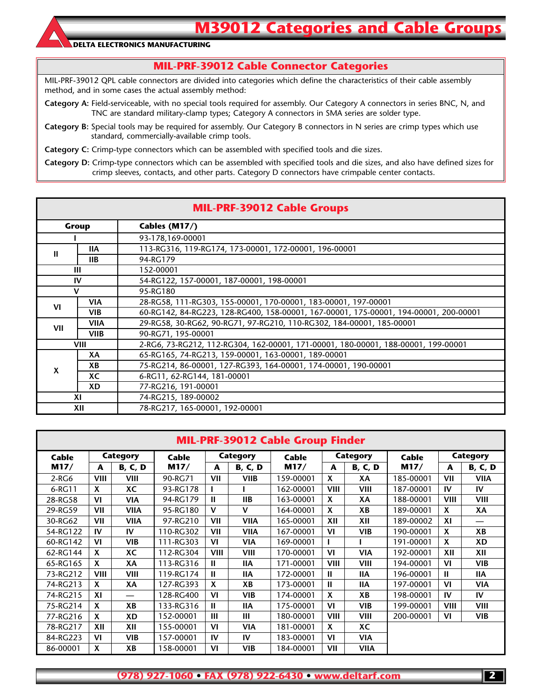### **MIL-PRF-39012 Cable Connector Categories**

MIL-PRF-39012 QPL cable connectors are divided into categories which define the characteristics of their cable assembly method, and in some cases the actual assembly method:

**Category A:** Field-serviceable, with no special tools required for assembly. Our Category A connectors in series BNC, N, and TNC are standard military-clamp types; Category A connectors in SMA series are solder type.

**Category B:** Special tools may be required for assembly. Our Category B connectors in N series are crimp types which use standard, commercially-available crimp tools.

**Category C:** Crimp-type connectors which can be assembled with specified tools and die sizes.

**Category D:** Crimp-type connectors which can be assembled with specified tools and die sizes, and also have defined sizes for crimp sleeves, contacts, and other parts. Category D connectors have crimpable center contacts.

|     |             | <b>MIL-PRF-39012 Cable Groups</b>                                                    |  |  |  |  |  |  |  |  |  |
|-----|-------------|--------------------------------------------------------------------------------------|--|--|--|--|--|--|--|--|--|
|     | Group       | Cables (M17/)                                                                        |  |  |  |  |  |  |  |  |  |
|     |             | 93-178,169-00001                                                                     |  |  |  |  |  |  |  |  |  |
| Ш   | <b>IIA</b>  | 113-RG316, 119-RG174, 173-00001, 172-00001, 196-00001                                |  |  |  |  |  |  |  |  |  |
|     | <b>IIB</b>  | 94-RG179                                                                             |  |  |  |  |  |  |  |  |  |
|     | Ш           | 152-00001                                                                            |  |  |  |  |  |  |  |  |  |
|     | IV          | 54-RG122, 157-00001, 187-00001, 198-00001                                            |  |  |  |  |  |  |  |  |  |
| V   |             | 95-RG180                                                                             |  |  |  |  |  |  |  |  |  |
| VI  | <b>VIA</b>  | 28-RG58, 111-RG303, 155-00001, 170-00001, 183-00001, 197-00001                       |  |  |  |  |  |  |  |  |  |
|     | <b>VIB</b>  | 60-RG142, 84-RG223, 128-RG400, 158-00001, 167-00001, 175-00001, 194-00001, 200-00001 |  |  |  |  |  |  |  |  |  |
| VII | VIIA        | 29-RG58, 30-RG62, 90-RG71, 97-RG210, 110-RG302, 184-00001, 185-00001                 |  |  |  |  |  |  |  |  |  |
|     | <b>VIIB</b> | 90-RG71, 195-00001                                                                   |  |  |  |  |  |  |  |  |  |
|     | <b>VIII</b> | 2-RG6, 73-RG212, 112-RG304, 162-00001, 171-00001, 180-00001, 188-00001, 199-00001    |  |  |  |  |  |  |  |  |  |
|     | XА          | 65-RG165, 74-RG213, 159-00001, 163-00001, 189-00001                                  |  |  |  |  |  |  |  |  |  |
| X   | XВ          | 75-RG214, 86-00001, 127-RG393, 164-00001, 174-00001, 190-00001                       |  |  |  |  |  |  |  |  |  |
|     | XC          | 6-RG11, 62-RG144, 181-00001                                                          |  |  |  |  |  |  |  |  |  |
|     | XD          | 77-RG216, 191-00001                                                                  |  |  |  |  |  |  |  |  |  |
|     | XI          | 74-RG215, 189-00002                                                                  |  |  |  |  |  |  |  |  |  |
|     | XII         | 78-RG217, 165-00001, 192-00001                                                       |  |  |  |  |  |  |  |  |  |

|          | <b>MIL-PRF-39012 Cable Group Finder</b> |                |           |                |                 |           |                 |                |           |             |                |  |  |  |  |
|----------|-----------------------------------------|----------------|-----------|----------------|-----------------|-----------|-----------------|----------------|-----------|-------------|----------------|--|--|--|--|
| Cable    |                                         | Category       | Cable     |                | <b>Category</b> | Cable     | <b>Category</b> |                | Cable     | Category    |                |  |  |  |  |
| M17/     | A                                       | <b>B, C, D</b> | M17/      | A              | <b>B, C, D</b>  | M17/      | A               | <b>B, C, D</b> | M17/      | A           | <b>B, C, D</b> |  |  |  |  |
| $2-RG6$  | <b>VIII</b>                             | <b>VIII</b>    | 90-RG71   | VII            | <b>VIIB</b>     | 159-00001 | X               | ХA             | 185-00001 | VII         | <b>VIIA</b>    |  |  |  |  |
| 6-RG11   | X                                       | ХC             | 93-RG178  |                |                 | 162-00001 | VIII            | VIII           | 187-00001 | IV          | IV             |  |  |  |  |
| 28-RG58  | VI                                      | <b>VIA</b>     | 94-RG179  | Ш              | IIB             | 163-00001 | X               | ХA             | 188-00001 | <b>VIII</b> | <b>VIII</b>    |  |  |  |  |
| 29-RG59  | VII                                     | <b>VIIA</b>    | 95-RG180  | $\mathbf v$    | $\mathbf v$     | 164-00001 | X               | XB             | 189-00001 | X           | XA             |  |  |  |  |
| 30-RG62  | VII                                     | <b>VIIA</b>    | 97-RG210  | VII            | <b>VIIA</b>     | 165-00001 | XII             | XII            | 189-00002 | XI          |                |  |  |  |  |
| 54-RG122 | IV                                      | IV             | 110-RG302 | VII            | <b>VIIA</b>     | 167-00001 | VI              | <b>VIB</b>     | 190-00001 | X           | XB             |  |  |  |  |
| 60-RG142 | VI                                      | <b>VIB</b>     | 111-RG303 | VI             | <b>VIA</b>      | 169-00001 |                 |                | 191-00001 | X           | <b>XD</b>      |  |  |  |  |
| 62-RG144 | X                                       | ХC             | 112-RG304 | <b>VIII</b>    | VIII            | 170-00001 | VI              | <b>VIA</b>     | 192-00001 | XII         | XII            |  |  |  |  |
| 65-RG165 | X                                       | XA             | 113-RG316 | Ш              | <b>IIA</b>      | 171-00001 | VIII            | VIII           | 194-00001 | VI          | VIB.           |  |  |  |  |
| 73-RG212 | <b>VIII</b>                             | VIII           | 119-RG174 | Ш              | <b>IIA</b>      | 172-00001 | Ш               | <b>IIA</b>     | 196-00001 | Ш           | <b>IIA</b>     |  |  |  |  |
| 74-RG213 | X                                       | XA             | 127-RG393 | X              | XB              | 173-00001 | Ш               | 11A            | 197-00001 | VI          | <b>VIA</b>     |  |  |  |  |
| 74-RG215 | XI                                      |                | 128-RG400 | V <sub>l</sub> | <b>VIB</b>      | 174-00001 | X               | XB             | 198-00001 | <b>IV</b>   | IV             |  |  |  |  |
| 75-RG214 | X                                       | XВ             | 133-RG316 | $\mathbf{H}$   | <b>IIA</b>      | 175-00001 | VI              | <b>VIB</b>     | 199-00001 | <b>VIII</b> | <b>VIII</b>    |  |  |  |  |
| 77-RG216 | X                                       | XD             | 152-00001 | Ш              | Ш               | 180-00001 | VIII            | <b>VIII</b>    | 200-00001 | VI          | VIB.           |  |  |  |  |
| 78-RG217 | XII                                     | XII            | 155-00001 | VI             | <b>VIA</b>      | 181-00001 | X               | XC             |           |             |                |  |  |  |  |
| 84-RG223 | VI                                      | <b>VIB</b>     | 157-00001 | IV             | IV              | 183-00001 | VI              | <b>VIA</b>     |           |             |                |  |  |  |  |
| 86-00001 | X                                       | XB             | 158-00001 | V <sub>l</sub> | <b>VIB</b>      | 184-00001 | VII             | <b>VIIA</b>    |           |             |                |  |  |  |  |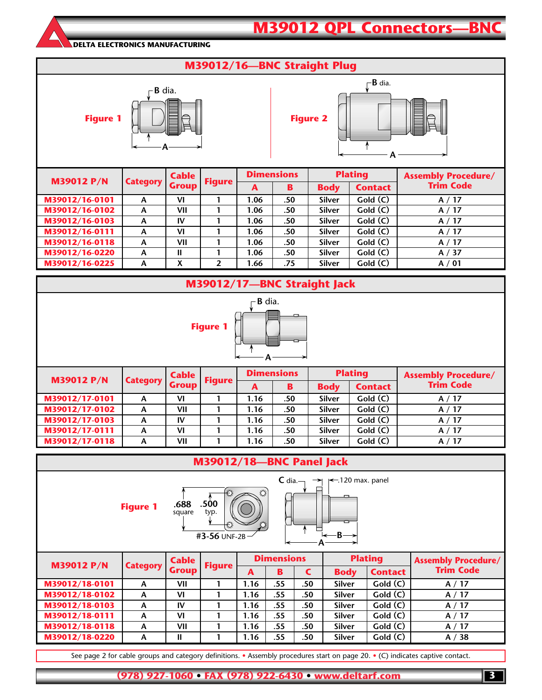### **M39012 QPL Connectors—BN**

#### **DELTA ELECTRONICS MANUFACTURING**

### **M39012/16—BNC Straight Plug**



| <b>M39012 P/N</b> | <b>Category   Group   '</b> |     | <b>Figure</b> | A    | B   | <b>Body</b>   | <b>Contact</b> | <b>Trim Code</b> |
|-------------------|-----------------------------|-----|---------------|------|-----|---------------|----------------|------------------|
| M39012/16-0101    | A                           | VI  |               | 1.06 | .50 | <b>Silver</b> | Gold(C)        | A/17             |
| M39012/16-0102    | A                           | VII |               | 1.06 | .50 | <b>Silver</b> | Gold(C)        | A/17             |
| M39012/16-0103    | A                           | IV  |               | 1.06 | .50 | <b>Silver</b> | Gold(C)        | A/17             |
| M39012/16-0111    | A                           | VI  |               | 1.06 | .50 | <b>Silver</b> | Gold(C)        | A/17             |
| M39012/16-0118    | A                           | VII |               | 1.06 | .50 | <b>Silver</b> | Gold(C)        | A/17             |
| M39012/16-0220    | A                           | Ш   |               | 1.06 | .50 | <b>Silver</b> | Gold(C)        | A / 37           |
| M39012/16-0225    | A                           | χ   |               | 1.66 | .75 | <b>Silver</b> | Gold(C)        | A/01             |



|                                                                                                                               |                 |                              | M39012/18-BNC Panel Jack |      |                   |     |               |                |                                                |  |  |
|-------------------------------------------------------------------------------------------------------------------------------|-----------------|------------------------------|--------------------------|------|-------------------|-----|---------------|----------------|------------------------------------------------|--|--|
| $C$ dia.<br>$\leftarrow$ 120 max. panel<br>$\rightarrow$<br>.500<br>.688<br><b>Figure 1</b><br>square<br>typ.<br>#3-56 UNF-2B |                 |                              |                          |      |                   |     |               |                |                                                |  |  |
| <b>M39012 P/N</b>                                                                                                             | <b>Category</b> | <b>Cable</b><br><b>Group</b> | <b>Figure</b>            |      | <b>Dimensions</b> |     |               | <b>Plating</b> | <b>Assembly Procedure/</b><br><b>Trim Code</b> |  |  |
|                                                                                                                               |                 |                              |                          | A    | B                 | C   | <b>Body</b>   | <b>Contact</b> |                                                |  |  |
| M39012/18-0101                                                                                                                | A               | VII                          |                          | 1.16 | .55               | .50 | <b>Silver</b> | Gold(C)        | A/17                                           |  |  |
|                                                                                                                               |                 |                              |                          |      |                   |     |               |                |                                                |  |  |

| M39012/18-0101 | A | VII | I. I 6 | دد. | .50 | Silver        | Gold (C) | A/<br>$\mathbf{L}$ |
|----------------|---|-----|--------|-----|-----|---------------|----------|--------------------|
| M39012/18-0102 | А | VI  | I.16   | .55 | .50 | <b>Silver</b> | Gold(C)  | A/17               |
| M39012/18-0103 |   | IV  | I.16   | .55 | .50 | <b>Silver</b> | Gold(C)  | A/17               |
| M39012/18-0111 |   | VI  | I.16   | .55 | .50 | <b>Silver</b> | Gold(C)  | A/17               |
| M39012/18-0118 | А | VII | 1.16   | .55 | .50 | <b>Silver</b> | Gold(C)  | A/17               |
| M39012/18-0220 | А |     | .16.   | .55 | .50 | <b>Silver</b> | Gold(C)  | A/38               |
|                |   |     |        |     |     |               |          |                    |

See page 2 for cable groups and category definitions. • Assembly procedures start on page 20. • (C) indicates captive contact.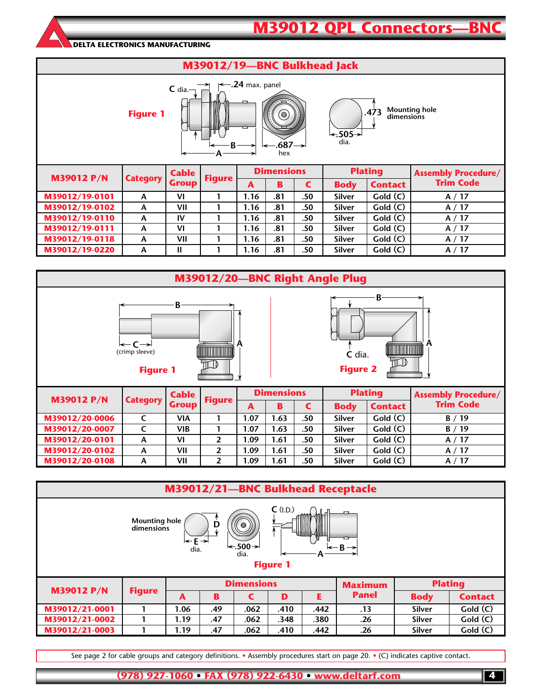## **M39012 QPL Connectors-BN**

#### **DELTA ELECTRONICS MANUFACTURING**



**M39012/19-0118 A VII 1 1.16 .81 .50 Silver Gold (C) A / 17 M39012/19-0220 A II I** 1 **1.16** .81 .50 Silver Gold (C) **A** / 17

| M39012/20-BNC Right Angle Plug                                                                                                                |                 |              |                |      |                   |     |               |                |                            |  |  |  |  |
|-----------------------------------------------------------------------------------------------------------------------------------------------|-----------------|--------------|----------------|------|-------------------|-----|---------------|----------------|----------------------------|--|--|--|--|
| B<br>B<br>$\leftarrow$ C $\rightarrow$<br>A<br>A<br><b>TITULIA</b><br>(crimp sleeve)<br>C dia.<br>11 ID<br><b>Figure 2</b><br><b>Figure 1</b> |                 |              |                |      |                   |     |               |                |                            |  |  |  |  |
| <b>M39012 P/N</b>                                                                                                                             |                 | <b>Cable</b> |                |      | <b>Dimensions</b> |     |               | <b>Plating</b> | <b>Assembly Procedure/</b> |  |  |  |  |
|                                                                                                                                               | <b>Category</b> | <b>Group</b> | <b>Figure</b>  | A    | B                 | C   | <b>Body</b>   | <b>Contact</b> | <b>Trim Code</b>           |  |  |  |  |
| M39012/20-0006                                                                                                                                | $\mathsf{C}$    | <b>VIA</b>   |                | 1.07 | 1.63              | .50 | <b>Silver</b> | Gold(C)        | B/19                       |  |  |  |  |
| M39012/20-0007                                                                                                                                | C               | <b>VIB</b>   |                | 1.07 | 1.63              | .50 | <b>Silver</b> | Gold (C)       | B/19                       |  |  |  |  |
| M39012/20-0101                                                                                                                                | A               | VI           | $\overline{2}$ | 1.09 | 1.61              | .50 | <b>Silver</b> | Gold (C)       | A/17                       |  |  |  |  |
|                                                                                                                                               | A               | VII          | $\overline{2}$ | 1.09 | 1.61              | .50 | <b>Silver</b> | Gold(C)        | A/17                       |  |  |  |  |
| M39012/20-0102                                                                                                                                |                 |              |                |      |                   |     |               |                |                            |  |  |  |  |

|                                                                                                                                                    | M39012/21-BNC Bulkhead Receptacle |      |     |                   |      |      |                |                |                |  |  |  |  |
|----------------------------------------------------------------------------------------------------------------------------------------------------|-----------------------------------|------|-----|-------------------|------|------|----------------|----------------|----------------|--|--|--|--|
| $C$ (I.D.)<br>一<br><b>Mounting hole</b><br>D<br>$\odot$<br>dimensions<br>l←E→<br>$\leftarrow$ 500 $\rightarrow$<br>dia.<br>dia.<br><b>Figure 1</b> |                                   |      |     |                   |      |      |                |                |                |  |  |  |  |
| <b>M39012 P/N</b>                                                                                                                                  |                                   |      |     | <b>Dimensions</b> |      |      | <b>Maximum</b> | <b>Plating</b> |                |  |  |  |  |
|                                                                                                                                                    | <b>Figure</b>                     | A    | B   |                   | D    | E    | <b>Panel</b>   | <b>Body</b>    | <b>Contact</b> |  |  |  |  |
| M39012/21-0001                                                                                                                                     |                                   | 1.06 | .49 | .062              | .410 | .442 | .13            | <b>Silver</b>  | Gold(C)        |  |  |  |  |
| M39012/21-0002                                                                                                                                     |                                   | 1.19 | .47 | .062              | .348 | .380 | .26            | Silver         | Gold (C)       |  |  |  |  |
| M39012/21-0003                                                                                                                                     |                                   | 1.19 | .47 | .062              | .410 | .442 | .26            | Silver         | Gold(C)        |  |  |  |  |

See page 2 for cable groups and category definitions. • Assembly procedures start on page 20. • (C) indicates captive contact.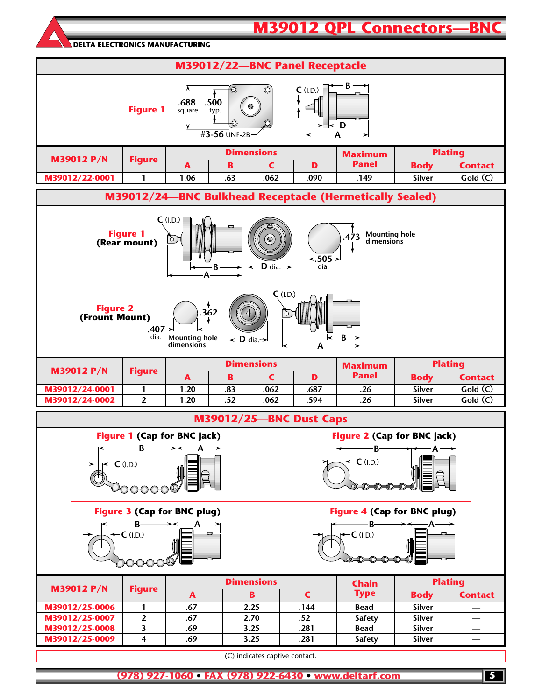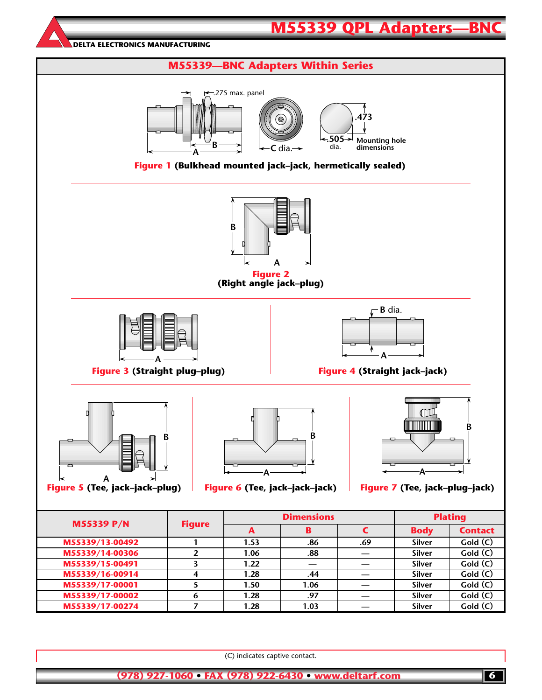

(C) indicates captive contact.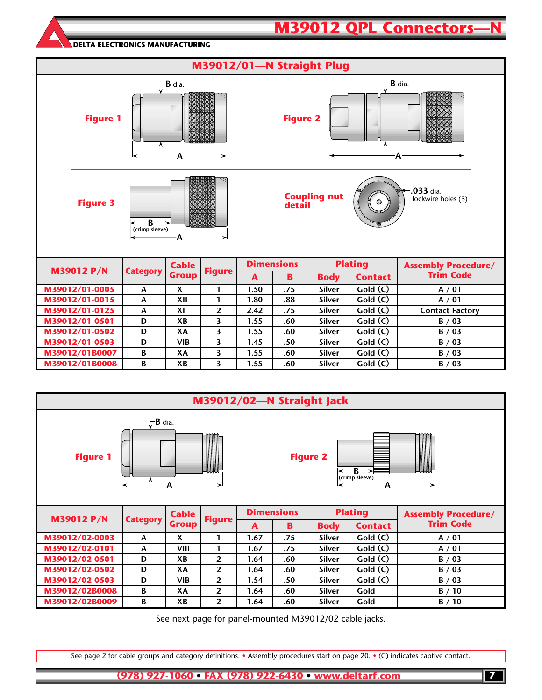|                                                                                                                            |                 |              |                         |              |                   | M39012/01-N Straight Plug |                |                            |  |  |  |
|----------------------------------------------------------------------------------------------------------------------------|-----------------|--------------|-------------------------|--------------|-------------------|---------------------------|----------------|----------------------------|--|--|--|
| B dia.<br>$\mathsf{\Gamma}$ B dia.<br><b>Figure 1</b><br><b>Figure 2</b><br>А<br>А                                         |                 |              |                         |              |                   |                           |                |                            |  |  |  |
| $-0.033$ dia.<br><b>Coupling nut</b><br>lockwire holes (3)<br><b>Figure 3</b><br>◉<br>detail<br>R<br>(crimp sleeve)<br>-A- |                 |              |                         |              |                   |                           |                |                            |  |  |  |
|                                                                                                                            |                 | <b>Cable</b> |                         |              | <b>Dimensions</b> |                           | <b>Plating</b> | <b>Assembly Procedure/</b> |  |  |  |
| <b>M39012 P/N</b>                                                                                                          | <b>Category</b> | <b>Group</b> | <b>Figure</b>           | $\mathbf{A}$ | B                 | <b>Body</b>               | <b>Contact</b> | <b>Trim Code</b>           |  |  |  |
| M39012/01-0005                                                                                                             | A               | X            | 1                       | 1.50         | .75               | Silver                    | Gold(C)        | A / 01                     |  |  |  |
| M39012/01-0015                                                                                                             | A               | XII          | 1                       | 1.80         | .88               | <b>Silver</b>             | Gold (C)       | A / 01                     |  |  |  |
| M39012/01-0125                                                                                                             | A               | XI           | $\overline{2}$          | 2.42         | .75               | <b>Silver</b>             | Gold (C)       | <b>Contact Factory</b>     |  |  |  |
| M39012/01-0501                                                                                                             | D               | XB           | 3                       | 1.55         | .60               | <b>Silver</b>             | Gold (C)       | B / 03                     |  |  |  |
| M39012/01-0502                                                                                                             | D               | XA           | 3                       | 1.55         | .60               | <b>Silver</b>             | Gold (C)       | B / 03                     |  |  |  |
| M39012/01-0503                                                                                                             | D               | <b>VIB</b>   | 3                       | 1.45         | .50               | <b>Silver</b>             | Gold (C)       | B / 03                     |  |  |  |
| M39012/01B0007                                                                                                             | B               | XA           | 3                       | 1.55         | .60               | <b>Silver</b>             | Gold (C)       | B / 03                     |  |  |  |
| M39012/01B0008                                                                                                             | B               | XB           | $\overline{\mathbf{3}}$ | 1.55         | .60               | <b>Silver</b>             | Gold (C)       | B / 03                     |  |  |  |

**M39012 QPL Connectors** 



See next page for panel-mounted M39012/02 cable jacks.

See page 2 for cable groups and category definitions. • Assembly procedures start on page 20. • (C) indicates captive contact.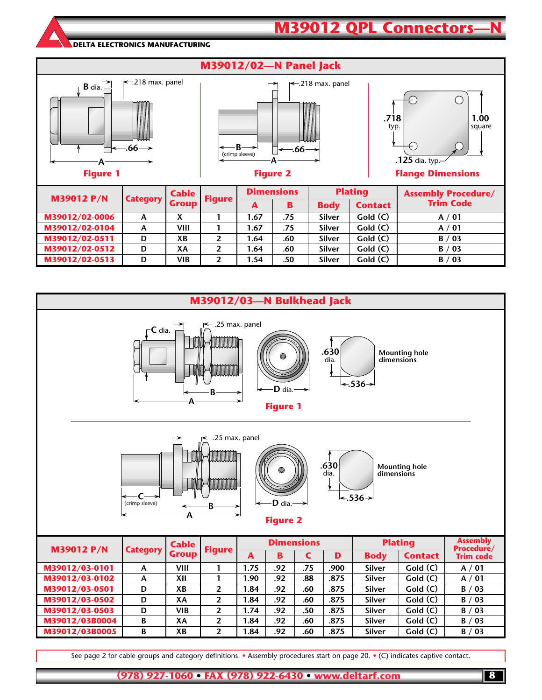

**M39012 QPL Connectors** 



See page 2 for cable groups and category definitions. • Assembly procedures start on page 20. • (C) indicates captive contact.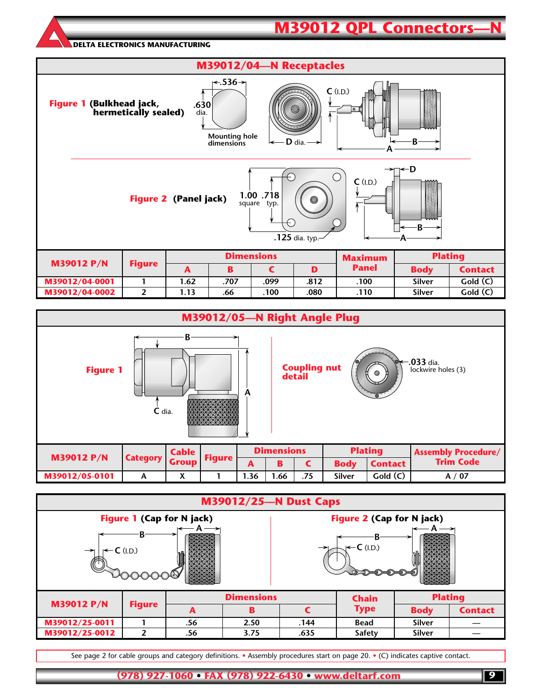### **M39012 QPL Connectors**

#### **DELTA ELECTRONICS MANUFACTURING**





|                                                                       | <b>M39012/25-N Dust Caps</b> |  |  |  |  |  |  |  |  |  |  |  |  |
|-----------------------------------------------------------------------|------------------------------|--|--|--|--|--|--|--|--|--|--|--|--|
| <b>Figure 1 (Cap for N jack)</b><br>Figure 2 (Cap for N jack)         |                              |  |  |  |  |  |  |  |  |  |  |  |  |
| J←C (I.D.)<br> ← C (I.D.)<br>$\rightarrow$                            |                              |  |  |  |  |  |  |  |  |  |  |  |  |
| <b>Dimensions</b><br><b>Chain</b><br><b>M39012 P/N</b>                | <b>Plating</b>               |  |  |  |  |  |  |  |  |  |  |  |  |
| <b>Figure</b><br><b>Type</b><br>B<br><b>Body</b><br>A                 | <b>Contact</b>               |  |  |  |  |  |  |  |  |  |  |  |  |
| M39012/25-0011<br>.56<br>2.50<br>.144<br><b>Silver</b><br><b>Bead</b> |                              |  |  |  |  |  |  |  |  |  |  |  |  |
| M39012/25-0012<br>2<br>3.75<br>Silver<br>.635<br>.56<br><b>Safety</b> |                              |  |  |  |  |  |  |  |  |  |  |  |  |

See page 2 for cable groups and category definitions. • Assembly procedures start on page 20. • (C) indicates captive contact.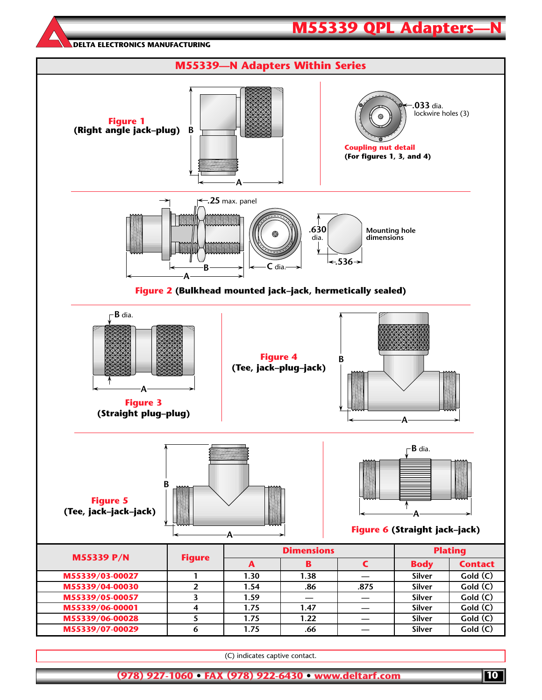

(C) indicates captive contact.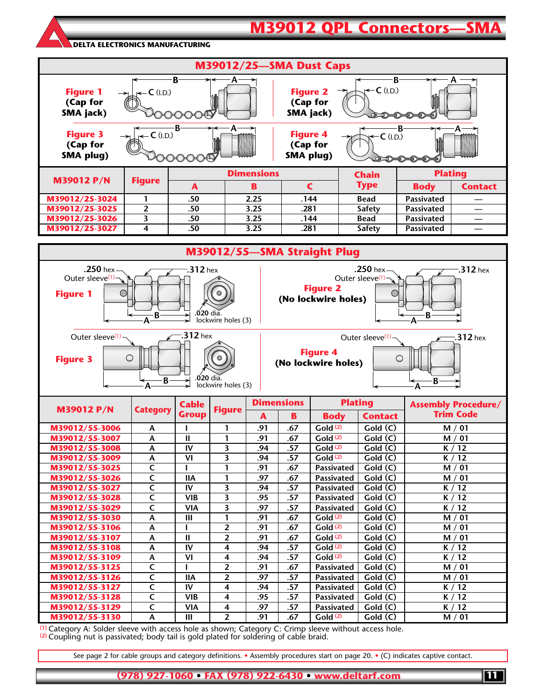### **M39012 QPL Connectors-**

**DELTA ELECTRONICS MANUFACTURING**



**(1)** Category A: Solder sleeve with access hole as shown; Category C: Crimp sleeve without access hole. **(2)** Coupling nut is passivated; body tail is gold plated for soldering of cable braid.

**M39012/55-3130 A III 2** .91 .67

See page 2 for cable groups and category definitions. • Assembly procedures start on page 20. • (C) indicates captive contact.

**(978) 927-1060 • FAX (978) 922-6430 • www.deltarf.com**

**M39012/55-3128 C VIB 4 .95 .57 Passivated Gold (C) K / 12 M39012/55-3129 C VIA 4 .97 .57 Passivated Gold (C) K / 12**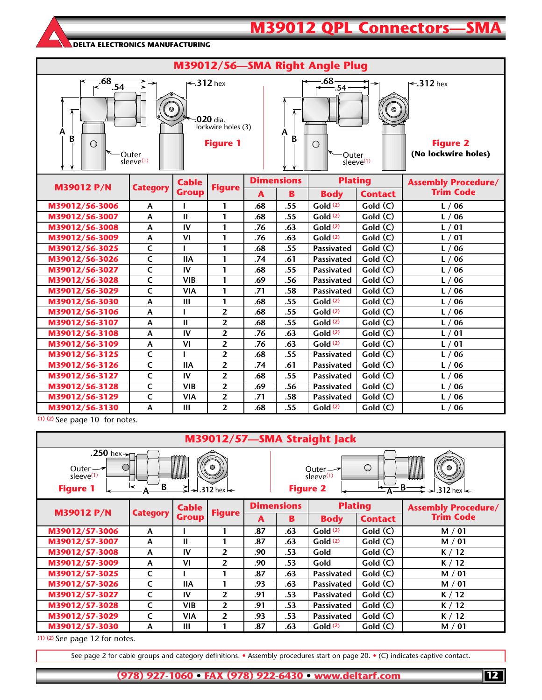# **M39012 QPL Connectors—SM**

#### **DELTA ELECTRONICS MANUFACTURING**

| M39012/56-SMA Right Angle Plug                                                                                                                                                                                                                                                                                                                                                      |                           |                              |                |     |     |                      |                |                                                |  |  |  |  |  |
|-------------------------------------------------------------------------------------------------------------------------------------------------------------------------------------------------------------------------------------------------------------------------------------------------------------------------------------------------------------------------------------|---------------------------|------------------------------|----------------|-----|-----|----------------------|----------------|------------------------------------------------|--|--|--|--|--|
| $\frac{.68}{-.54}$<br>$.68 -$<br>$\leftarrow$ 312 hex<br>$\leftarrow$ 312 hex<br>→<br>$\frac{6}{6}$ .54<br>$\circledcirc$<br>⊚<br>.020 dia.<br>lockwire holes (3)<br>А<br>A<br>B<br>B<br><b>Figure 2</b><br><b>Figure 1</b><br>$\bigcirc$<br>$\bigcirc$<br>(No lockwire holes)<br>Outer<br>Outer<br>sleeve <sup>(1)</sup><br>$s$ leeve $(1)$<br><b>Dimensions</b><br><b>Plating</b> |                           |                              |                |     |     |                      |                |                                                |  |  |  |  |  |
| <b>M39012 P/N</b>                                                                                                                                                                                                                                                                                                                                                                   | <b>Category</b>           | <b>Cable</b><br><b>Group</b> | <b>Figure</b>  |     |     |                      |                | <b>Assembly Procedure/</b><br><b>Trim Code</b> |  |  |  |  |  |
|                                                                                                                                                                                                                                                                                                                                                                                     |                           |                              |                | A   | B   | <b>Body</b>          | <b>Contact</b> |                                                |  |  |  |  |  |
| M39012/56-3006                                                                                                                                                                                                                                                                                                                                                                      | A                         |                              | 1              | .68 | .55 | Gold <sup>(2)</sup>  | Gold(C)        | L/06                                           |  |  |  |  |  |
| M39012/56-3007                                                                                                                                                                                                                                                                                                                                                                      | A                         | $\mathbf{I}$                 | 1              | .68 | .55 | Gold(2)              | Gold (C)       | L/06                                           |  |  |  |  |  |
| M39012/56-3008                                                                                                                                                                                                                                                                                                                                                                      | Α                         | IV                           | 1              | .76 | .63 | Gold(2)              | Gold (C)       | L/01                                           |  |  |  |  |  |
| M39012/56-3009                                                                                                                                                                                                                                                                                                                                                                      | A                         | VI                           | 1              | .76 | .63 | Gold(2)              | Gold (C)       | L/01                                           |  |  |  |  |  |
| M39012/56-3025                                                                                                                                                                                                                                                                                                                                                                      | $\mathsf{C}$              | п                            | 1              | .68 | .55 | <b>Passivated</b>    | Gold (C)       | $'$ 06<br>$\mathsf{L}$ /                       |  |  |  |  |  |
| M39012/56-3026                                                                                                                                                                                                                                                                                                                                                                      | $\overline{\mathsf{c}}$   | <b>IIA</b>                   | 1              | .74 | .61 | Passivated           | Gold (C)       | L/06                                           |  |  |  |  |  |
| M39012/56-3027                                                                                                                                                                                                                                                                                                                                                                      | $\overline{\mathsf{C}}$   | IV                           | 1              | .68 | .55 | Passivated           | Gold (C)       | L/06                                           |  |  |  |  |  |
| M39012/56-3028                                                                                                                                                                                                                                                                                                                                                                      | $\overline{\mathsf{C}}$   | <b>VIB</b>                   | 1              | .69 | .56 | <b>Passivated</b>    | Gold(C)        | L/06                                           |  |  |  |  |  |
| M39012/56-3029                                                                                                                                                                                                                                                                                                                                                                      | $\mathsf{C}$              | <b>VIA</b>                   | 1              | .71 | .58 | Passivated           | Gold(C)        | 06<br>$\lfloor$ /                              |  |  |  |  |  |
| M39012/56-3030                                                                                                                                                                                                                                                                                                                                                                      | A                         | III                          | 1              | .68 | .55 | Gold(2)              | Gold(C)        | L/06                                           |  |  |  |  |  |
| M39012/56-3106                                                                                                                                                                                                                                                                                                                                                                      | $\boldsymbol{\mathsf{A}}$ |                              | $\overline{2}$ | .68 | .55 | Gold(2)              | Gold (C)       | 06<br>L/                                       |  |  |  |  |  |
| M39012/56-3107                                                                                                                                                                                                                                                                                                                                                                      | A                         | $\mathbf{H}$                 | $\overline{2}$ | .68 | .55 | Gold(2)              | Gold(C)        | L/06                                           |  |  |  |  |  |
| M39012/56-3108                                                                                                                                                                                                                                                                                                                                                                      | $\boldsymbol{\mathsf{A}}$ | IV                           | $\overline{2}$ | .76 | .63 | Gold(2)              | Gold (C)       | 01<br>$\mathsf{L}$ /                           |  |  |  |  |  |
| M39012/56-3109                                                                                                                                                                                                                                                                                                                                                                      | Α                         | VI                           | $\overline{2}$ | .76 | .63 | Gold(2)              | Gold (C)       | L/01                                           |  |  |  |  |  |
| M39012/56-3125                                                                                                                                                                                                                                                                                                                                                                      | $\overline{\mathsf{c}}$   |                              | $\overline{2}$ | .68 | .55 | Passivated           | Gold (C)       | L/06                                           |  |  |  |  |  |
| M39012/56-3126                                                                                                                                                                                                                                                                                                                                                                      | $\overline{\mathsf{C}}$   | <b>IIA</b>                   | $\overline{2}$ | .74 | .61 | Passivated           | Gold (C)       | 06<br>$\mathsf{L}$ /                           |  |  |  |  |  |
| M39012/56-3127                                                                                                                                                                                                                                                                                                                                                                      | $\overline{\mathsf{c}}$   | IV                           | $\overline{2}$ | .68 | .55 | Passivated           | Gold (C)       | 06<br>$\mathsf{L}$ /                           |  |  |  |  |  |
| M39012/56-3128                                                                                                                                                                                                                                                                                                                                                                      | $\overline{\mathsf{c}}$   | <b>VIB</b>                   | $\overline{2}$ | .69 | .56 | Passivated           | Gold (C)       | L/06                                           |  |  |  |  |  |
| M39012/56-3129                                                                                                                                                                                                                                                                                                                                                                      | $\mathsf{C}$              | <b>VIA</b>                   | $\overline{2}$ | .71 | .58 | Passivated           | Gold (C)       | L/06                                           |  |  |  |  |  |
| M39012/56-3130                                                                                                                                                                                                                                                                                                                                                                      | A                         | Ш                            | $\overline{2}$ | .68 | .55 | Gol <sub>d</sub> (2) | Gold (C)       | L/06                                           |  |  |  |  |  |

**(1) (2)** See page 10 for notes.

| M39012/57-SMA Straight Jack                                                               |                 |              |                                               |                                                                                                                                      |                   |                   |                |                            |  |  |  |  |
|-------------------------------------------------------------------------------------------|-----------------|--------------|-----------------------------------------------|--------------------------------------------------------------------------------------------------------------------------------------|-------------------|-------------------|----------------|----------------------------|--|--|--|--|
| .250 hex $\rightarrow$<br>Outer $\rightarrow$<br>sleeve <sup>(1)</sup><br><b>Figure 1</b> | ٠B٠             |              | $\circ$<br>$\rightarrow$ 312 hex $\leftarrow$ | $\circ$<br>$\circ$<br>Outer $\rightarrow$<br>sleeve <sup>(1)</sup><br>$-B^{-}$<br><b>Figure 2</b><br>ю<br>.312 hex $\leftarrow$<br>⇥ |                   |                   |                |                            |  |  |  |  |
| <b>M39012 P/N</b>                                                                         | <b>Category</b> | <b>Cable</b> | <b>Figure</b>                                 |                                                                                                                                      | <b>Dimensions</b> | <b>Plating</b>    |                | <b>Assembly Procedure/</b> |  |  |  |  |
|                                                                                           |                 | <b>Group</b> |                                               | A                                                                                                                                    | B                 | <b>Body</b>       | <b>Contact</b> | <b>Trim Code</b>           |  |  |  |  |
| M39012/57-3006                                                                            | A               |              |                                               | .87                                                                                                                                  | .63               | Gold(2)           | Gold(C)        | M / 01                     |  |  |  |  |
| M39012/57-3007                                                                            | A               | Ш            | 1                                             | .87                                                                                                                                  | .63               | Gold(2)           | Gold(C)        | M / 01                     |  |  |  |  |
| M39012/57-3008                                                                            | A               | IV           | $\overline{2}$                                | .90                                                                                                                                  | .53               | Gold              | Gold(C)        | K/12                       |  |  |  |  |
| M39012/57-3009                                                                            | A               | VI           | $\overline{2}$                                | .90                                                                                                                                  | .53               | Gold              | Gold(C)        | K/12                       |  |  |  |  |
| M39012/57-3025                                                                            | C               |              |                                               | .87                                                                                                                                  | .63               | <b>Passivated</b> | Gold(C)        | M / 01                     |  |  |  |  |
| M39012/57-3026                                                                            | C               | <b>IIA</b>   | 1                                             | .93                                                                                                                                  | .63               | <b>Passivated</b> | Gold(C)        | M / 01                     |  |  |  |  |
| M39012/57-3027                                                                            | $\mathsf{C}$    | IV           | $\overline{2}$                                | .91                                                                                                                                  | .53               | <b>Passivated</b> | Gold(C)        | K / 12                     |  |  |  |  |
| M39012/57-3028                                                                            | $\mathsf{C}$    | <b>VIB</b>   | $\overline{2}$                                | .91                                                                                                                                  | .53               | <b>Passivated</b> | Gold(C)        | K/12                       |  |  |  |  |
| M39012/57-3029                                                                            | $\mathsf{C}$    | <b>VIA</b>   | $\overline{2}$                                | .93                                                                                                                                  | .53               | <b>Passivated</b> | Gold(C)        | K / 12                     |  |  |  |  |
| M39012/57-3030                                                                            | A               | Ш            |                                               | .87                                                                                                                                  | .63               | Gold(2)           | Gold (C)       | M / 01                     |  |  |  |  |

**(1) (2)** See page 12 for notes.

See page 2 for cable groups and category definitions. • Assembly procedures start on page 20. • (C) indicates captive contact.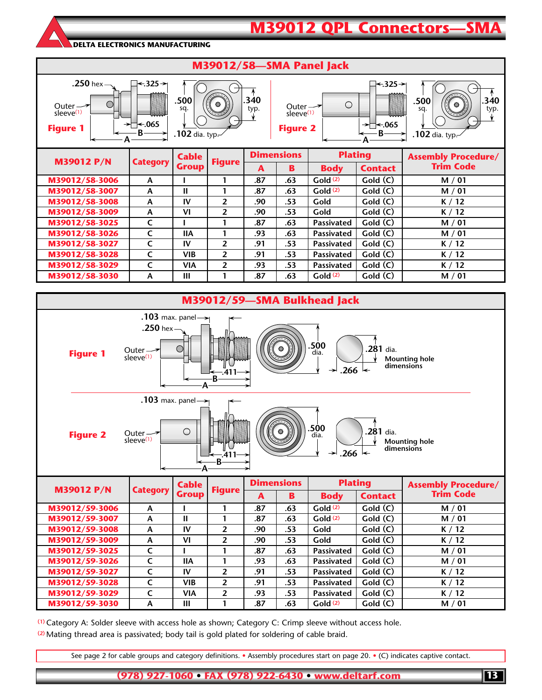### **M39012 QPL Connectors-**

#### **DELTA ELECTRONICS MANUFACTURING**





**(1)** Category A: Solder sleeve with access hole as shown; Category C: Crimp sleeve without access hole. **(2)** Mating thread area is passivated; body tail is gold plated for soldering of cable braid.

See page 2 for cable groups and category definitions. • Assembly procedures start on page 20. • (C) indicates captive contact.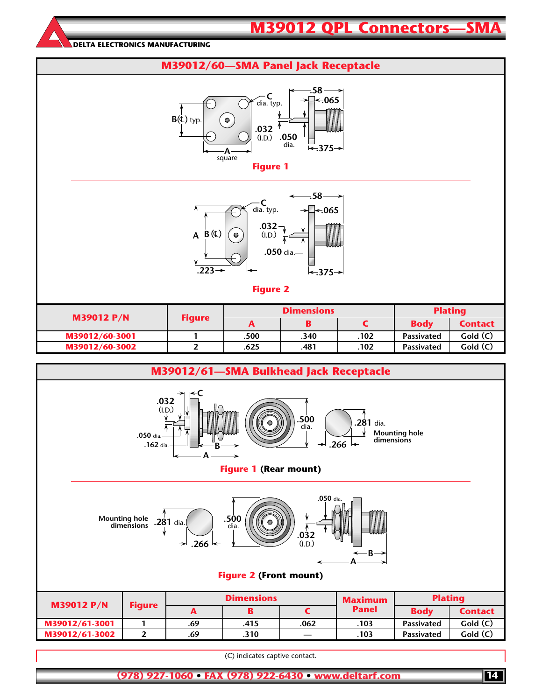### **M39012 QPL Connectors-**

**DELTA ELECTRONICS MANUFACTURING**









| <b>M39012 P/N</b> | <b>Figure</b> |      | <b>Dimensions</b> | <b>Plating</b> |                   |                |
|-------------------|---------------|------|-------------------|----------------|-------------------|----------------|
|                   |               | A    |                   |                | <b>Body</b>       | <b>Contact</b> |
| M39012/60-3001    |               | .500 | .340              | .102           | <b>Passivated</b> | Gold(C)        |
| M39012/60-3002    |               | .625 | .481              | .102           | <b>Passivated</b> | Gold (C)       |
|                   |               |      |                   |                |                   |                |



(C) indicates captive contact.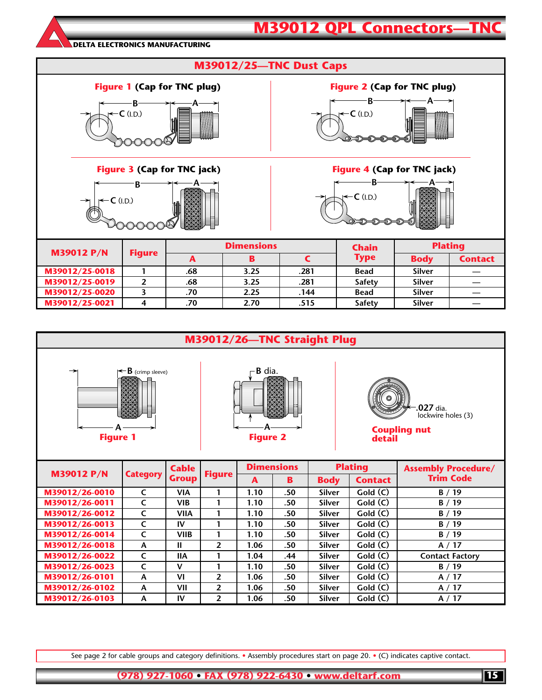### **M39012 QPL Connectors-TN**

**DELTA ELECTRONICS MANUFACTURING**

| <b>M39012/25-TNC Dust Caps</b>                                           |                                    |                   |                                    |                |               |               |                |  |
|--------------------------------------------------------------------------|------------------------------------|-------------------|------------------------------------|----------------|---------------|---------------|----------------|--|
|                                                                          | <b>Figure 1 (Cap for TNC plug)</b> |                   | <b>Figure 2 (Cap for TNC plug)</b> |                |               |               |                |  |
| $\leftarrow$ C (I.D.)                                                    |                                    |                   | $J-C$ (I.D.)                       |                |               |               |                |  |
| <b>Figure 3 (Cap for TNC jack)</b><br><b>Figure 4 (Cap for TNC jack)</b> |                                    |                   |                                    |                |               |               |                |  |
| $\leftarrow$ C (I.D.)<br>$\rightarrow$                                   |                                    |                   |                                    | J←C (I.D.)     |               |               |                |  |
| <b>M39012 P/N</b>                                                        | <b>Figure</b>                      | <b>Dimensions</b> |                                    |                | <b>Chain</b>  |               | <b>Plating</b> |  |
|                                                                          |                                    | A                 | B                                  | $\overline{C}$ | <b>Type</b>   | <b>Body</b>   | <b>Contact</b> |  |
| M39012/25-0018                                                           | 1                                  | .68               | 3.25                               | .281           | <b>Bead</b>   | <b>Silver</b> |                |  |
| M39012/25-0019                                                           | $\overline{2}$                     | .68               | 3.25                               | .281           | <b>Safety</b> | <b>Silver</b> |                |  |
| M39012/25-0020                                                           | 3                                  | .70               | 2.25                               | .144           | Bead          | Silver        |                |  |
| M39012/25-0021                                                           | 4                                  | .70               | 2.70                               | .515           | <b>Safety</b> | Silver        |                |  |



See page 2 for cable groups and category definitions. • Assembly procedures start on page 20. • (C) indicates captive contact.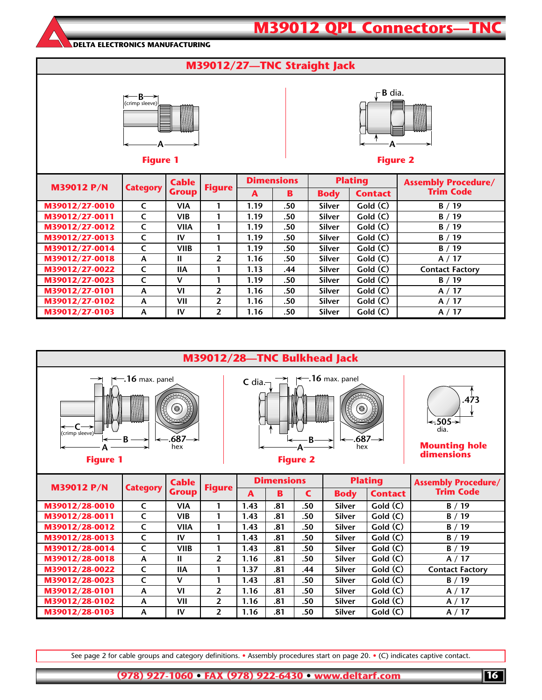



**M39012/27-0103 A IV 2 1.16 .50 Silver Gold (C) A / 17**

See page 2 for cable groups and category definitions. • Assembly procedures start on page 20. • (C) indicates captive contact.

**(978) 927-1060 • FAX (978) 922-6430 • www.deltarf.com**

**M39012/28-0023 C V 1 1.43 .81 .50 Silver Gold (C) B / 19 M39012/28-0101 A VI 2 1.16 .81 .50 Silver Gold (C) A / 17 M39012/28-0102 A VII 2 1.16 .81 .50 Silver Gold (C) A / 17 M39012/28-0103 A IV 2 1.16 .81 .50 Silver Gold (C) A / 17**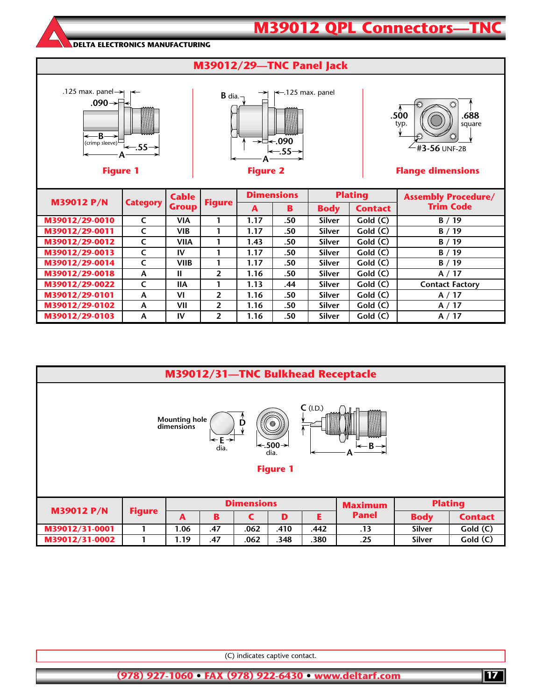

**M39012/29-0101 A VI 2 1.16 .50 Silver Gold (C) A / 17 M39012/29-0102 A VII 2 1.16 .50 Silver Gold (C) A / 17 M39012/29-0103 A IV 2 1.16 .50 Silver Gold (C) A / 17**

| M39012/31-TNC Bulkhead Receptacle                                                                                                                             |                                                       |              |     |      |      |      |              |               |                |
|---------------------------------------------------------------------------------------------------------------------------------------------------------------|-------------------------------------------------------|--------------|-----|------|------|------|--------------|---------------|----------------|
| $C$ (I.D.)<br><b>Mounting hole</b><br>D<br>$\odot$<br>dimensions<br>l←E→l<br>l←.500→l<br>$\leftarrow$ B $\rightarrow$<br>dia.<br>dia.<br>A<br><b>Figure 1</b> |                                                       |              |     |      |      |      |              |               |                |
| <b>M39012 P/N</b>                                                                                                                                             | <b>Dimensions</b><br><b>Plating</b><br><b>Maximum</b> |              |     |      |      |      |              |               |                |
|                                                                                                                                                               | <b>Figure</b>                                         | $\mathbf{A}$ | B   | C    | D    | E.   | <b>Panel</b> | <b>Body</b>   | <b>Contact</b> |
| M39012/31-0001                                                                                                                                                |                                                       | 1.06         | .47 | .062 | .410 | .442 | .13          | <b>Silver</b> | Gold(C)        |
| M39012/31-0002                                                                                                                                                |                                                       | 1.19         | .47 | .062 | .348 | .380 | .25          | <b>Silver</b> | Gold(C)        |

(C) indicates captive contact.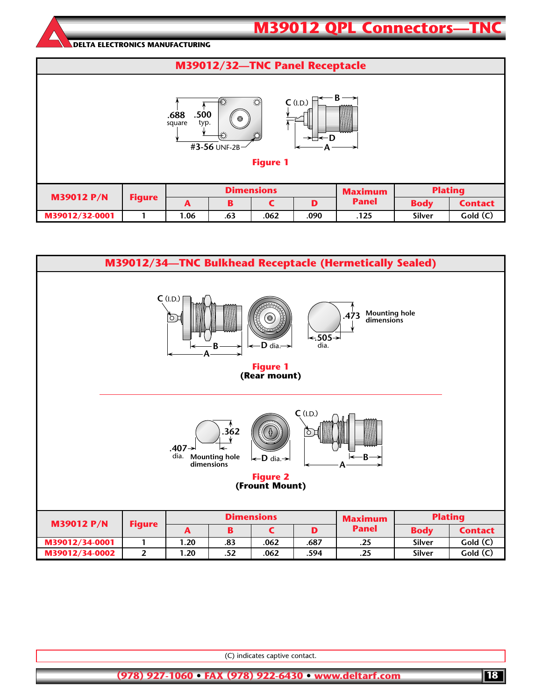### **M39012 QPL Connectors—TN DELTA ELECTRONICS MANUFACTURING M39012/32—TNC Panel Receptacle B C** (I.D.)  $\ddot{O}$ **.688 .500**  $\odot$  square typ. **D #3-56** UNF-2B **A Figure 1 Dimensions Maximum Plating M39012 P/N Figure A BCD Panel Body Contact M39012/32-0001 1 1.06 .63 .062 .090 .125 Silver Gold (C)**



(C) indicates captive contact.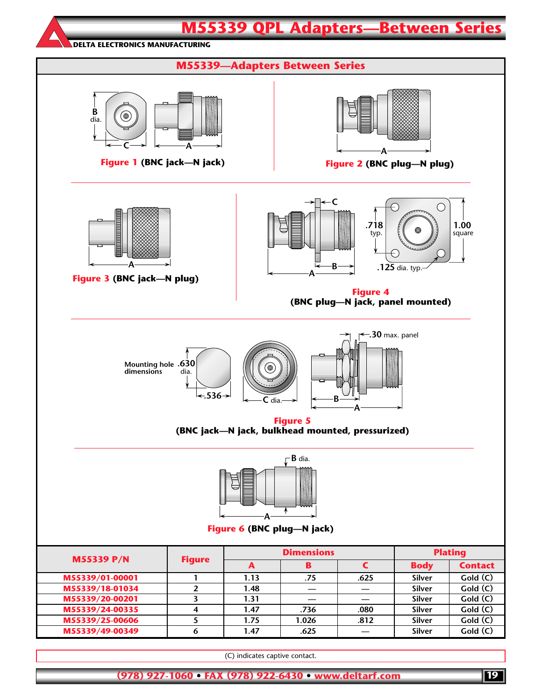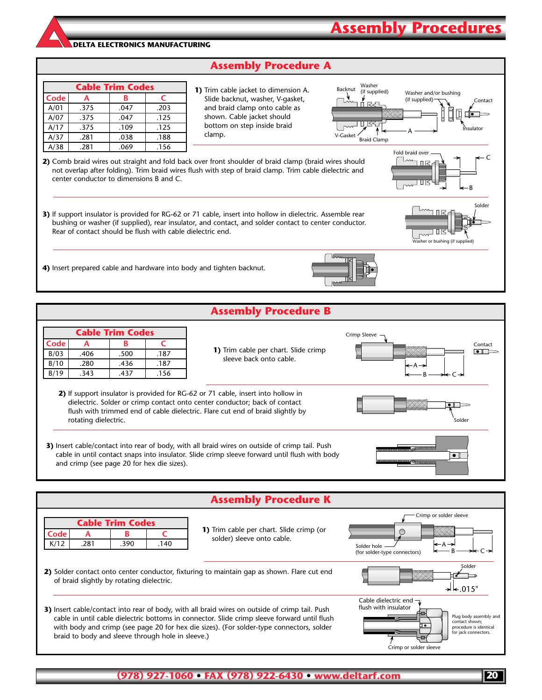### **Assembly Procedure A**

| <b>Cable Trim Codes</b> |      |      |      |  |  |  |  |  |
|-------------------------|------|------|------|--|--|--|--|--|
| Code                    | А    | R    | C    |  |  |  |  |  |
| A/01                    | .375 | .047 | .203 |  |  |  |  |  |
| A/07                    | .375 | .047 | .125 |  |  |  |  |  |
| A/17                    | .375 | .109 | .125 |  |  |  |  |  |
| A/37                    | .281 | .038 | .188 |  |  |  |  |  |
| A/38                    | .281 | .069 | .156 |  |  |  |  |  |

**1)** Trim cable jacket to dimension A. Slide backnut, washer, V-gasket, and braid clamp onto cable as shown. Cable jacket should bottom on step inside braid clamp.



**Assembly Procedures**

Fold braid over

П

Lm אחר

B

er or bushing (if sup

Solder

C

**2)** Comb braid wires out straight and fold back over front shoulder of braid clamp (braid wires should not overlap after folding). Trim braid wires flush with step of braid clamp. Trim cable dielectric and center conductor to dimensions B and C.

- **3)** If support insulator is provided for RG-62 or 71 cable, insert into hollow in dielectric. Assemble rear bushing or washer (if supplied), rear insulator, and contact, and solder contact to center conductor. Rear of contact should be flush with cable dielectric end.
- **4)** Insert prepared cable and hardware into body and tighten backnut.





| <b>Assembly Procedure K</b>                                                                                                                                                                                                                                                                                                                     |                                                                                                                                                                             |                                                      |  |  |  |  |  |
|-------------------------------------------------------------------------------------------------------------------------------------------------------------------------------------------------------------------------------------------------------------------------------------------------------------------------------------------------|-----------------------------------------------------------------------------------------------------------------------------------------------------------------------------|------------------------------------------------------|--|--|--|--|--|
| <b>Cable Trim Codes</b>                                                                                                                                                                                                                                                                                                                         |                                                                                                                                                                             | Crimp or solder sleeve                               |  |  |  |  |  |
| Code<br>в<br>А<br>K/12<br>.281<br>.390<br>.140                                                                                                                                                                                                                                                                                                  | 1) Trim cable per chart. Slide crimp (or<br>solder) sleeve onto cable.                                                                                                      | ⊢⊢A →<br>Solder hole<br>(for solder-type connectors) |  |  |  |  |  |
| 2) Solder contact onto center conductor, fixturing to maintain gap as shown. Flare cut end<br>of braid slightly by rotating dielectric.                                                                                                                                                                                                         | Solder<br>$\blacktriangleright$ $\blacktriangleright$ 015"                                                                                                                  |                                                      |  |  |  |  |  |
| 3) Insert cable/contact into rear of body, with all braid wires on outside of crimp tail. Push<br>cable in until cable dielectric bottoms in connector. Slide crimp sleeve forward until flush<br>with body and crimp (see page 20 for hex die sizes). (For solder-type connectors, solder<br>braid to body and sleeve through hole in sleeve.) | Cable dielectric end $\neg$<br>flush with insulator<br>Plug body assembly and<br>contact shown:<br>procedure is identical<br>for jack connectors.<br>Crimp or solder sleeve |                                                      |  |  |  |  |  |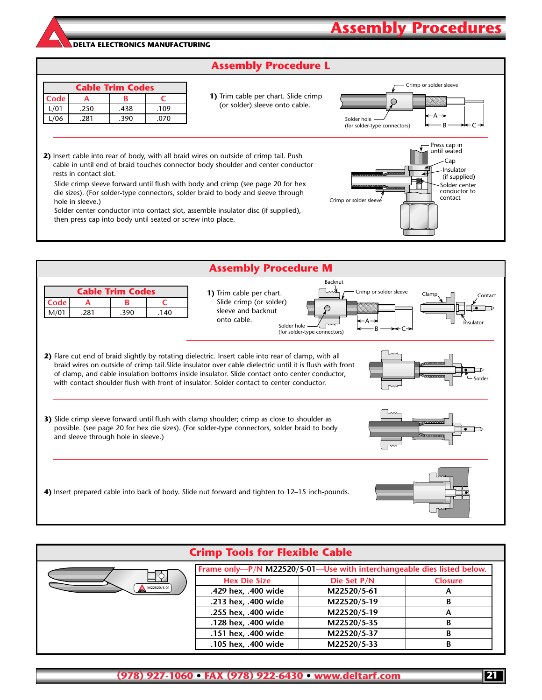### **Assembly Procedure L**

| <b>Cable Trim Codes</b> |      |      |      |  |  |  |  |
|-------------------------|------|------|------|--|--|--|--|
| Code                    |      |      |      |  |  |  |  |
| L/01                    | .250 | .438 | .109 |  |  |  |  |
| L/06                    | .281 | .390 | .070 |  |  |  |  |

**1)** Trim cable per chart. Slide crimp (or solder) sleeve onto cable.



Solder center conductor to contact

Press cap in until seated Cap Insulator (if supplied)

Crimp or solder sleeve

**Assembly Procedur** 

**2)** Insert cable into rear of body, with all braid wires on outside of crimp tail. Push cable in until end of braid touches connector body shoulder and center conductor rests in contact slot.

Slide crimp sleeve forward until flush with body and crimp (see page 20 for hex die sizes). (For solder-type connectors, solder braid to body and sleeve through hole in sleeve.)

Solder center conductor into contact slot, assemble insulator disc (if supplied), then press cap into body until seated or screw into place.



| <b>Crimp Tools for Flexible Cable</b>                                  |                |  |  |  |  |  |  |
|------------------------------------------------------------------------|----------------|--|--|--|--|--|--|
| Frame only-P/N M22520/5-01-Use with interchangeable dies listed below. |                |  |  |  |  |  |  |
| Die Set P/N                                                            | <b>Closure</b> |  |  |  |  |  |  |
| .429 hex, .400 wide<br>M22520/5-61                                     | A              |  |  |  |  |  |  |
| M22520/5-19<br>.213 hex, .400 wide                                     | В              |  |  |  |  |  |  |
| .255 hex, .400 wide<br>M22520/5-19                                     | A              |  |  |  |  |  |  |
| .128 hex, .400 wide<br>M22520/5-35                                     | В              |  |  |  |  |  |  |
| .151 hex, .400 wide<br>M22520/5-37                                     | В              |  |  |  |  |  |  |
| .105 hex, .400 wide<br>M22520/5-33                                     | В              |  |  |  |  |  |  |
|                                                                        |                |  |  |  |  |  |  |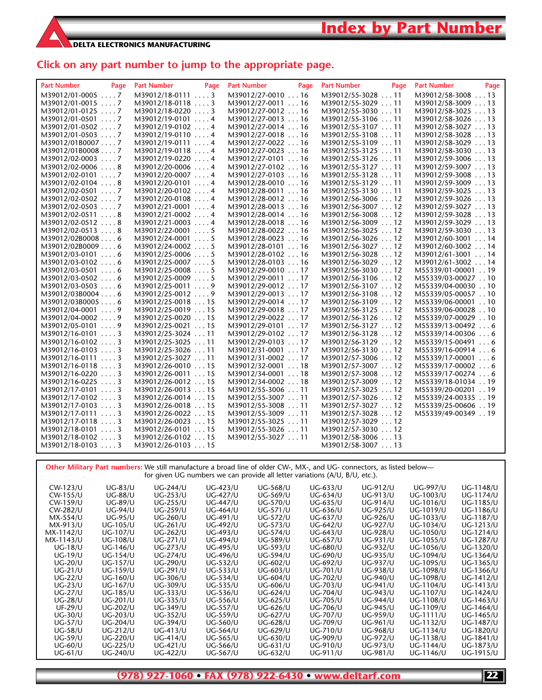### **Click on any part number to jump to the appropriate page.**

| <b>Part Number</b><br>Page | <b>Part Number</b><br>Page | <b>Part Number</b><br>Page | <b>Part Number</b><br>Page | <b>Part Number</b><br>Page |
|----------------------------|----------------------------|----------------------------|----------------------------|----------------------------|
| M39012/01-0005  7          | $M39012/18-01113$          | M39012/27-0010 16          | M39012/55-3028 11          | M39012/58-3008 13          |
| M39012/01-0015 7           | $M39012/18-01183$          | M39012/27-0011 16          | M39012/55-3029 11          | M39012/58-3009 13          |
| M39012/01-0125 7           | $M39012/18-02203$          | M39012/27-0012  16         | M39012/55-3030  11         | M39012/58-3025 13          |
| $M39012/01-05017$          | $M39012/19-01014$          | M39012/27-0013  16         | M39012/55-3106  11         | M39012/58-3026 13          |
| M39012/01-0502 7           | M39012/19-0102 4           | M39012/27-0014 16          | M39012/55-3107  11         | M39012/58-3027 13          |
| M39012/01-0503 7           | $M39012/19-01104$          | M39012/27-0018  16         | M39012/55-3108  11         | M39012/58-3028 13          |
| M39012/01B00077            | $M39012/19-01114$          | M39012/27-0022  16         | M39012/55-3109  11         | M39012/58-3029 13          |
| M39012/01B00087            | $M39012/19-01184$          | M39012/27-0023 16          | M39012/55-3125  11         | M39012/58-3030 13          |
| $M39012/02-00037$          | $M39012/19-0220$ 4         | M39012/27-0101 16          | M39012/55-3126 11          | M39012/59-3006 13          |
| M39012/02-0006 8           | M39012/20-0006  4          | M39012/27-0102  16         | M39012/55-3127  11         | M39012/59-3007  13         |
| $M39012/02-01017$          | $M39012/20-00074$          | M39012/27-0103  16         | M39012/55-3128  11         | M39012/59-3008 13          |
| M39012/02-0104 8           | $M39012/20-01014$          | M39012/28-0010  16         | M39012/55-3129  11         | M39012/59-3009 13          |
| M39012/02-0501 7           | M39012/20-0102 4           | M39012/28-0011 16          | M39012/55-3130 11          | M39012/59-3025 13          |
| $M39012/02-05027$          | $M39012/20-01084$          | M39012/28-0012  16         | M39012/56-3006  12         | M39012/59-3026  13         |
| $M39012/02-05037$          | $M39012/21-00014$          | M39012/28-0013 16          | M39012/56-3007  12         | M39012/59-3027 13          |
| $M39012/02-05118$          | $M39012/21-00024$          | M39012/28-0014  16         | M39012/56-3008  12         | M39012/59-3028 13          |
| $M39012/02-05128$          | $M39012/21-00034$          | M39012/28-0018 16          | M39012/56-3009 12          | M39012/59-3029 13          |
| M39012/02-0513  8          | $M39012/22-00015$          | M39012/28-0022  16         | M39012/56-3025 12          | M39012/59-3030 13          |
| M39012/02B00086            | $M39012/24-00015$          | M39012/28-0023 16          | M39012/56-3026  12         | M39012/60-3001  14         |
| M39012/02B00096            | $M39012/24-00025$          | M39012/28-0101 16          | M39012/56-3027  12         | M39012/60-3002  14         |
| $M39012/03-01016$          | $M39012/25-00065$          | M39012/28-0102 16          | M39012/56-3028 12          | M39012/61-3001  14         |
| $M39012/03-01026$          | $M39012/25-00075$          | M39012/28-0103  16         | M39012/56-3029 12          | M39012/61-3002  14         |
| $M39012/03-05016$          | $M39012/25-00085$          | M39012/29-0010 17          | M39012/56-3030  12         | M55339/01-00001 19         |
| $M39012/03-05026$          | $M39012/25-00095$          | M39012/29-0011  17         | M39012/56-3106  12         | M55339/03-00027 10         |
| $M39012/03-05036$          | $M39012/25-00119$          | M39012/29-0012 17          | M39012/56-3107  12         | M55339/04-00030 10         |
| M39012/03B00046            | $M39012/25-00129$          | M39012/29-0013 17          | M39012/56-3108  12         | M55339/05-00057 10         |
| M39012/03B00056            | M39012/25-0018 15          | M39012/29-0014 17          | M39012/56-3109  12         | M55339/06-00001 10         |
| $M39012/04-00019$          | M39012/25-0019  15         | M39012/29-0018  17         | M39012/56-3125  12         | M55339/06-00028 10         |
| $M39012/04-00029$          | M39012/25-0020 15          | M39012/29-0022 17          | M39012/56-3126  12         | M55339/07-00029 10         |
| M39012/05-0101  9          | $M39012/25-0021$ 15        | $M39012/29-010117$         | $M39012/56-312712$         | $M55339/13-004926$         |
| $M39012/16-01013$          | M39012/25-3024 11          | M39012/29-0102 17          | M39012/56-3128 12          | $M55339/14-003066$         |
| $M39012/16-01023$          | M39012/25-3025  11         | M39012/29-0103 17          | M39012/56-3129  12         | M55339/15-00491 6          |
| $M39012/16-01033$          | M39012/25-3026  11         | M39012/31-0001  17         | M39012/56-3130  12         | $M55339/16-009146$         |
| $M39012/16-01113$          | $M39012/25-302711$         | M39012/31-0002  17         | M39012/57-3006  12         | M55339/17-00001 6          |
| $M39012/16-01183$          | M39012/26-0010  15         | M39012/32-0001  18         | M39012/57-3007  12         | M55339/17-00002 6          |
| $M39012/16-0220$ 3         | $M39012/26-001115$         | M39012/34-0001 18          | M39012/57-3008 12          | $M55339/17-002746$         |
| $M39012/16-02253$          | M39012/26-0012  15         | M39012/34-0002  18         | M39012/57-3009  12         | M55339/18-01034 19         |
| $M39012/17-01013$          | M39012/26-0013 15          | M39012/55-3006 11          | M39012/57-3025 12          | M55339/20-00201 19         |
| $M39012/17-01023$          | M39012/26-0014  15         | M39012/55-3007 11          | M39012/57-3026 12          | M55339/24-00335 19         |
| $M39012/17-01033$          | M39012/26-0018 15          | M39012/55-3008  11         | M39012/57-3027 12          | M55339/25-00606 19         |
| $M39012/17-01113$          | M39012/26-0022  15         | M39012/55-3009 11          | M39012/57-3028 12          | M55339/49-00349 19         |
| M39012/17-0118  3          | M39012/26-0023 15          | M39012/55-3025  11         | M39012/57-3029 12          |                            |
| $M39012/18-01013$          | M39012/26-0101  15         | M39012/55-3026  11         | M39012/57-3030  12         |                            |
| $M39012/18-01023$          | M39012/26-0102  15         | M39012/55-3027  11         | M39012/58-3006 13          |                            |
| $M39012/18-01033$          | M39012/26-0103  15         |                            | M39012/58-3007  13         |                            |

**Other Military Part numbers:** We still manufacture a broad line of older CW-, MX-, and UG- connectors, as listed below for given UG numbers we can provide all letter variations (A/U, B/U, etc.).

| CW-123/U       | <b>UG-83/U</b>  | <b>UG-244/U</b> | UG-423/U | <b>UG-568/U</b> | UG-633/U        | UG-912/U        | <b>UG-997/U</b> | UG-1148/U<br>UG-1174/U |
|----------------|-----------------|-----------------|----------|-----------------|-----------------|-----------------|-----------------|------------------------|
| CW-155/U       | <b>UG-88/U</b>  | UG-253/U        | UG-427/U | UG-569/U        | UG-634/U        | UG-913/U        | UG-1003/U       |                        |
| CW-159/U       | <b>UG-89/U</b>  | <b>UG-255/U</b> | UG-447/U | UG-570/U        | UG-635/U        | UG-914/U        | UG-1016/U       | UG-1185/U              |
| CW-282/U       | <b>UG-94/U</b>  | <b>UG-259/U</b> | UG-464/U | UG-571/U        | UG-636/U        | UG-925/U        | UG-1019/U       | UG-1186/U              |
| MX-554/U       | <b>UG-95/U</b>  | UG-260/U        | UG-491/U | UG-572/U        | UG-637/U        | UG-926/U        | UG-1033/U       | UG-1187/U              |
| MX-913/U       | UG-105/U        | UG-261/U        | UG-492/U | UG-573/U        | UG-642/U        | <b>UG-927/U</b> | UG-1034/U       | UG-1213/U              |
| MX-1142/U      | UG-107/U        | UG-262/U        | UG-493/U | UG-574/U        | UG-643/U        | <b>UG-928/U</b> | UG-1050/U       | UG-1214/U              |
| MX-1143/U      | <b>UG-108/U</b> | UG-271/U        | UG-494/U | UG-589/U        | UG-657/U        | UG-931/U        | UG-1055/U       | UG-1287/U              |
| $UG-18/U$      | UG-146/U        | UG-273/U        | UG-495/U | UG-593/U        | UG-680/U        | UG-932/U        | UG-1056/U       | UG-1320/U              |
| <b>UG-19/U</b> | UG-154/U        | <b>UG-274/U</b> | UG-496/U | UG-594/U        | UG-690/U        | UG-935/U        | UG-1094/U       | UG-1364/U              |
| $UG-20/U$      | UG-157/U        | UG-290/U        | UG-532/U | UG-602/U        | UG-692/U        | UG-937/U        | UG-1095/U       | UG-1365/U              |
| $UG-21/U$      | UG-159/U        | UG-291/U        | UG-533/U | UG-603/U        | UG-701/U        | <b>UG-938/U</b> | UG-1098/U       | UG-1366/U              |
| <b>UG-22/U</b> | UG-160/U        | <b>UG-306/U</b> | UG-534/U | UG-604/U        | UG-702/U        | UG-940/U        | UG-1098/U       | UG-1412/U              |
| $UG-23/U$      | UG-167/U        | UG-309/U        | UG-535/U | UG-606/U        | UG-703/U        | UG-941/U        | UG-1104/U       | UG-1413/U              |
| <b>UG-27/U</b> | <b>UG-185/U</b> | UG-333/U        | UG-536/U | UG-624/U        | UG-704/U        | UG-943/U        | UG-1107/U       | UG-1424/U              |
| <b>UG-28/U</b> | UG-201/U        | UG-335/U        | UG-556/U | UG-625/U        | <b>UG-705/U</b> | UG-944/U        | UG-1108/U       | UG-1463/U              |
| $UF-29/U$      | <b>UG-202/U</b> | UG-349/U        | UG-557/U | UG-626/U        | UG-706/U        | UG-945/U        | UG-1109/U       | UG-1464/U              |
| $UG-30/U$      | UG-203/U        | UG-352/U        | UG-559/U | UG-627/U        | UG-707/U        | UG-959/U        | UG-1111/U       | UG-1465/U              |
| <b>UG-57/U</b> | <b>UG-204/U</b> | UG-394/U        | UG-560/U | <b>UG-628/U</b> | UG-709/U        | UG-961/U        | UG-1132/U       | UG-1487/U              |
| <b>UG-58/U</b> | UG-212/U        | UG-413/U        | UG-564/U | UG-629/U        | UG-710/U        | UG-968/U        | UG-1134/U       | UG-1820/U              |
| <b>UG-59/U</b> | <b>UG-220/U</b> | UG-414/U        | UG-565/U | UG-630/U        | UG-909/U        | UG-972/U        | UG-1138/U       | UG-1841/U              |
| <b>UG-60/U</b> | UG-225/U        | UG-421/U        | UG-566/U | UG-631/U        | UG-910/U        | UG-973/U        | UG-1144/U       | UG-1873/U              |
| UG-61/U        | UG-240/U        | UG-422/U        | UG-567/U | UG-632/U        | UG-911/U        | UG-981/U        | UG-1146/U       | UG-1915/U              |
|                |                 |                 |          |                 |                 |                 |                 |                        |